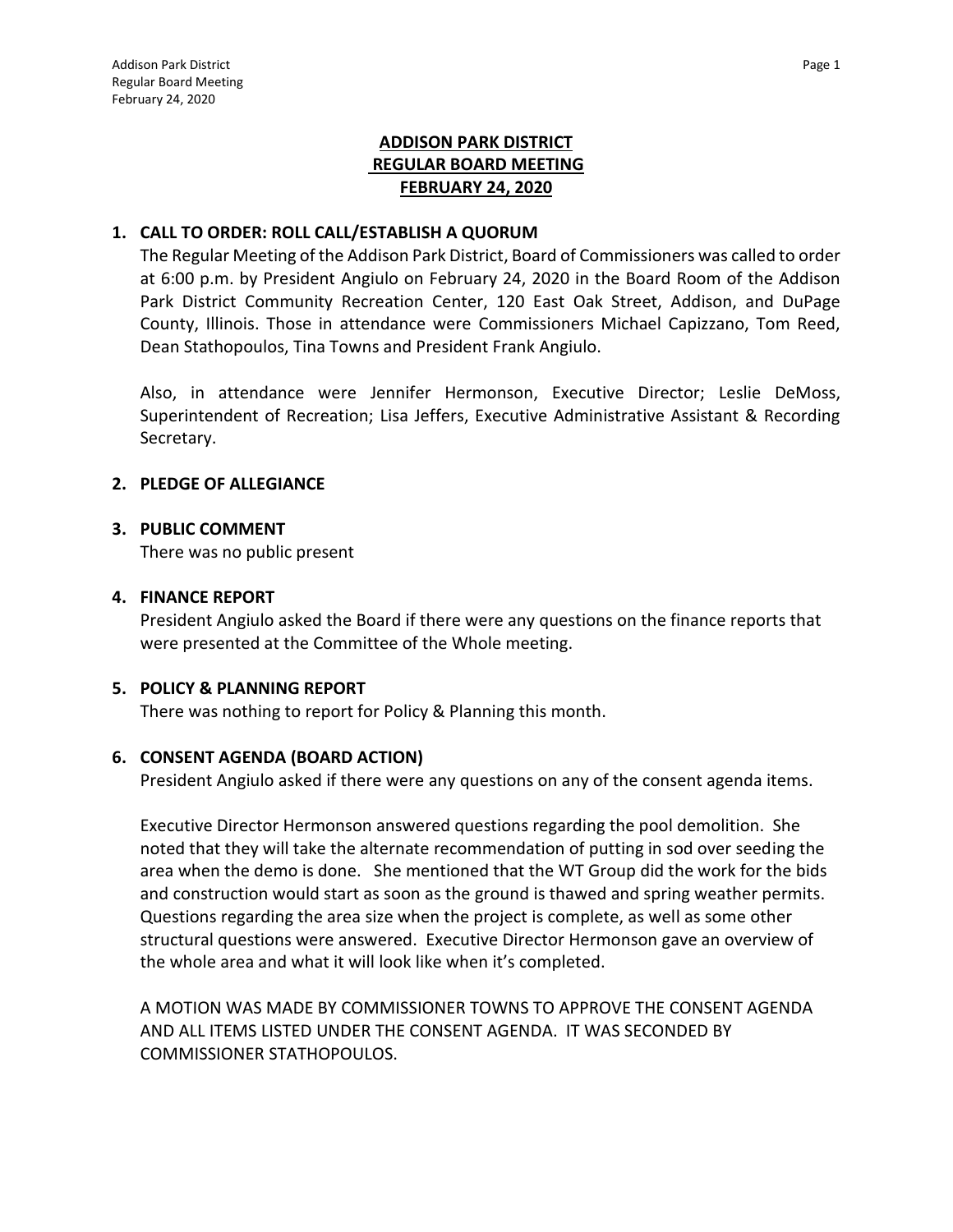# **ADDISON PARK DISTRICT REGULAR BOARD MEETING FEBRUARY 24, 2020**

#### **1. CALL TO ORDER: ROLL CALL/ESTABLISH A QUORUM**

The Regular Meeting of the Addison Park District, Board of Commissioners was called to order at 6:00 p.m. by President Angiulo on February 24, 2020 in the Board Room of the Addison Park District Community Recreation Center, 120 East Oak Street, Addison, and DuPage County, Illinois. Those in attendance were Commissioners Michael Capizzano, Tom Reed, Dean Stathopoulos, Tina Towns and President Frank Angiulo.

Also, in attendance were Jennifer Hermonson, Executive Director; Leslie DeMoss, Superintendent of Recreation; Lisa Jeffers, Executive Administrative Assistant & Recording Secretary.

## **2. PLEDGE OF ALLEGIANCE**

#### **3. PUBLIC COMMENT**

There was no public present

#### **4. FINANCE REPORT**

President Angiulo asked the Board if there were any questions on the finance reports that were presented at the Committee of the Whole meeting.

#### **5. POLICY & PLANNING REPORT**

There was nothing to report for Policy & Planning this month.

#### **6. CONSENT AGENDA (BOARD ACTION)**

President Angiulo asked if there were any questions on any of the consent agenda items.

Executive Director Hermonson answered questions regarding the pool demolition. She noted that they will take the alternate recommendation of putting in sod over seeding the area when the demo is done. She mentioned that the WT Group did the work for the bids and construction would start as soon as the ground is thawed and spring weather permits. Questions regarding the area size when the project is complete, as well as some other structural questions were answered. Executive Director Hermonson gave an overview of the whole area and what it will look like when it's completed.

A MOTION WAS MADE BY COMMISSIONER TOWNS TO APPROVE THE CONSENT AGENDA AND ALL ITEMS LISTED UNDER THE CONSENT AGENDA. IT WAS SECONDED BY COMMISSIONER STATHOPOULOS.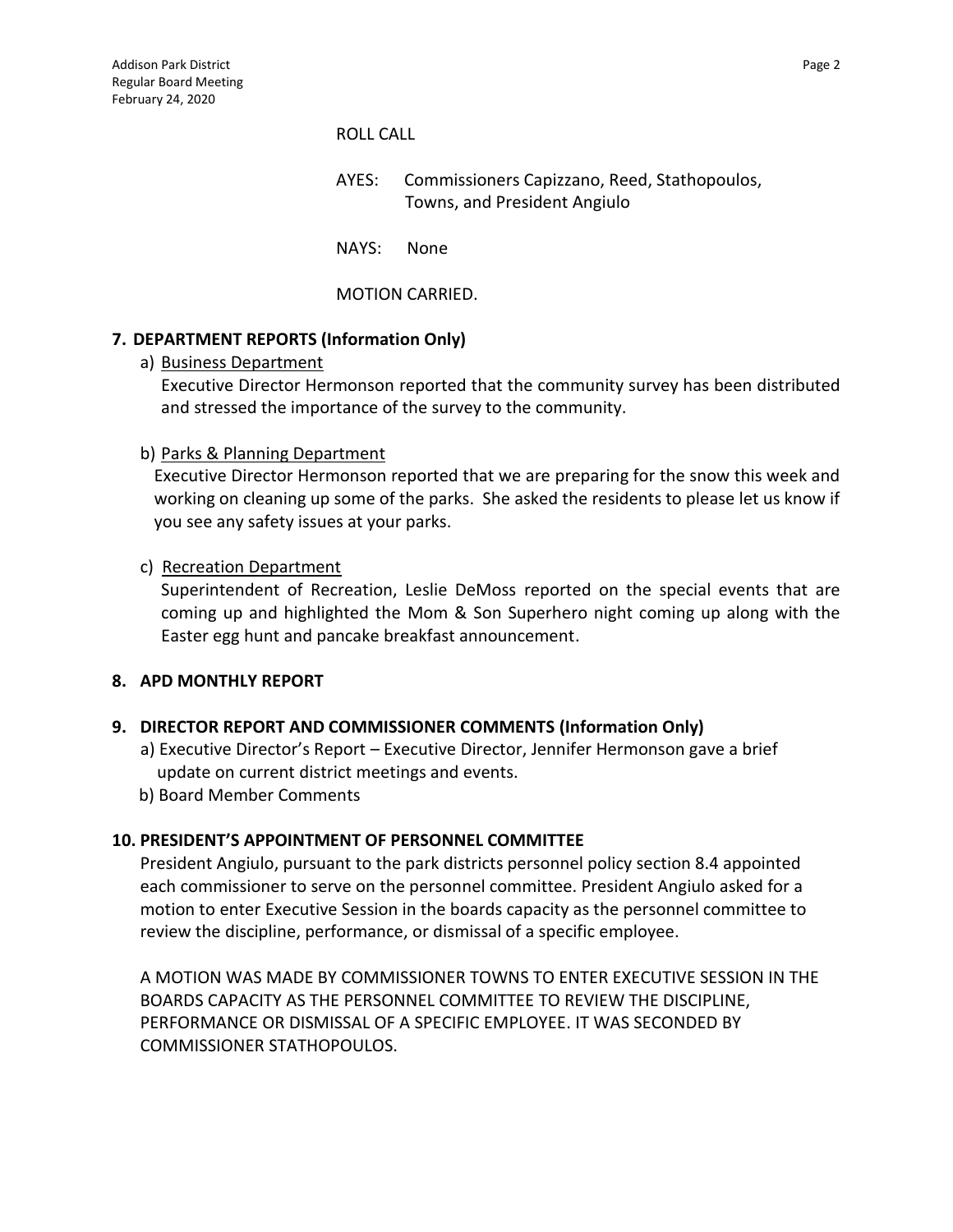#### ROLL CALL

- AYES: Commissioners Capizzano, Reed, Stathopoulos, Towns, and President Angiulo
- NAYS: None

## MOTION CARRIED.

## **7. DEPARTMENT REPORTS (Information Only)**

a) Business Department

Executive Director Hermonson reported that the community survey has been distributed and stressed the importance of the survey to the community.

#### b) Parks & Planning Department

Executive Director Hermonson reported that we are preparing for the snow this week and working on cleaning up some of the parks. She asked the residents to please let us know if you see any safety issues at your parks.

## c) Recreation Department

Superintendent of Recreation, Leslie DeMoss reported on the special events that are coming up and highlighted the Mom & Son Superhero night coming up along with the Easter egg hunt and pancake breakfast announcement.

#### **8. APD MONTHLY REPORT**

## **9. DIRECTOR REPORT AND COMMISSIONER COMMENTS (Information Only)**

- a) Executive Director's Report Executive Director, Jennifer Hermonson gave a brief update on current district meetings and events.
- b) Board Member Comments

#### **10. PRESIDENT'S APPOINTMENT OF PERSONNEL COMMITTEE**

President Angiulo, pursuant to the park districts personnel policy section 8.4 appointed each commissioner to serve on the personnel committee. President Angiulo asked for a motion to enter Executive Session in the boards capacity as the personnel committee to review the discipline, performance, or dismissal of a specific employee.

A MOTION WAS MADE BY COMMISSIONER TOWNS TO ENTER EXECUTIVE SESSION IN THE BOARDS CAPACITY AS THE PERSONNEL COMMITTEE TO REVIEW THE DISCIPLINE, PERFORMANCE OR DISMISSAL OF A SPECIFIC EMPLOYEE. IT WAS SECONDED BY COMMISSIONER STATHOPOULOS.